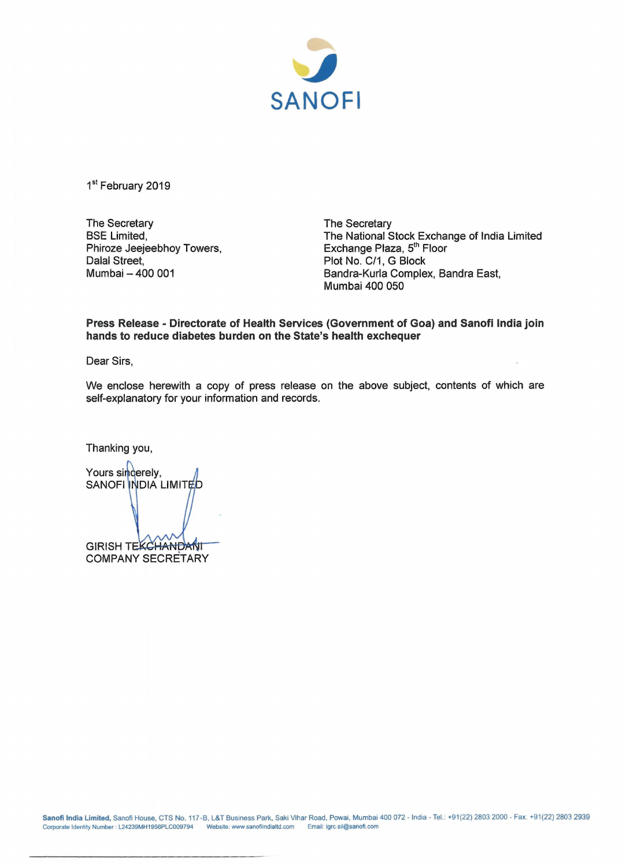

1st February 2019

The Secretary BSE Limited, Phiroze Jeejeebhoy Towers, Dalal Street, Mumbai - 400 001

The Secretary The National Stock Exchange of India Limited Exchange Plaza, 5<sup>th</sup> Floor Plot No. C/1, G Block Bandra-Kurla Complex, Sandra East, Mumbai 400 050

**Press Release - Directorate of Health Services (Government of Goa) and Sanofi India join hands to reduce diabetes burden on the State's health exchequer** 

Dear Sirs,

We enclose herewith a copy of press release on the above subject, contents of which are self-explanatory for your information and records.

Thanking you,

Yours sincerely, SANOFI INDIA LIMITED GIRISH TEKCHANDANIT COMPANY SECRETARY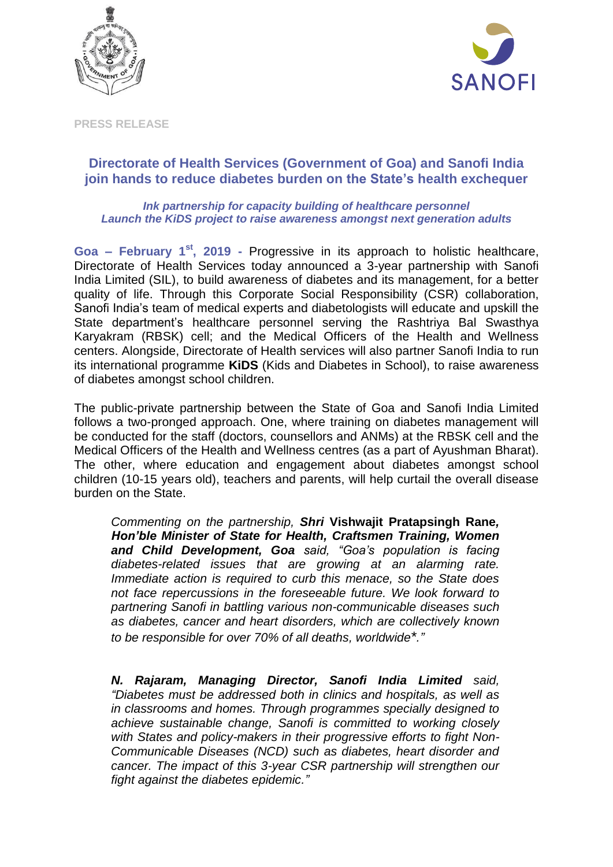



**PRESS RELEASE**

## **Directorate of Health Services (Government of Goa) and Sanofi India join hands to reduce diabetes burden on the State's health exchequer**

## *Ink partnership for capacity building of healthcare personnel Launch the KiDS project to raise awareness amongst next generation adults*

**Goa – February 1 st, 2019 -** Progressive in its approach to holistic healthcare, Directorate of Health Services today announced a 3-year partnership with Sanofi India Limited (SIL), to build awareness of diabetes and its management, for a better quality of life. Through this Corporate Social Responsibility (CSR) collaboration, Sanofi India's team of medical experts and diabetologists will educate and upskill the State department's healthcare personnel serving the Rashtriya Bal Swasthya Karyakram (RBSK) cell; and the Medical Officers of the Health and Wellness centers. Alongside, Directorate of Health services will also partner Sanofi India to run its international programme **KiDS** (Kids and Diabetes in School), to raise awareness of diabetes amongst school children.

The public-private partnership between the State of Goa and Sanofi India Limited follows a two-pronged approach. One, where training on diabetes management will be conducted for the staff (doctors, counsellors and ANMs) at the RBSK cell and the Medical Officers of the Health and Wellness centres (as a part of Ayushman Bharat). The other, where education and engagement about diabetes amongst school children (10-15 years old), teachers and parents, will help curtail the overall disease burden on the State.

*Commenting on the partnership, Shri* **Vishwajit Pratapsingh Rane***, Hon'ble Minister of State for Health, Craftsmen Training, Women and Child Development, Goa said, "Goa's population is facing diabetes-related issues that are growing at an alarming rate. Immediate action is required to curb this menace, so the State does not face repercussions in the foreseeable future. We look forward to partnering Sanofi in battling various non-communicable diseases such as diabetes, cancer and heart disorders, which are collectively known to be responsible for over 70% of all deaths, worldwide\*."*

*N. Rajaram, Managing Director, Sanofi India Limited said, "Diabetes must be addressed both in clinics and hospitals, as well as in classrooms and homes. Through programmes specially designed to achieve sustainable change, Sanofi is committed to working closely with States and policy-makers in their progressive efforts to fight Non-Communicable Diseases (NCD) such as diabetes, heart disorder and cancer. The impact of this 3-year CSR partnership will strengthen our fight against the diabetes epidemic."*